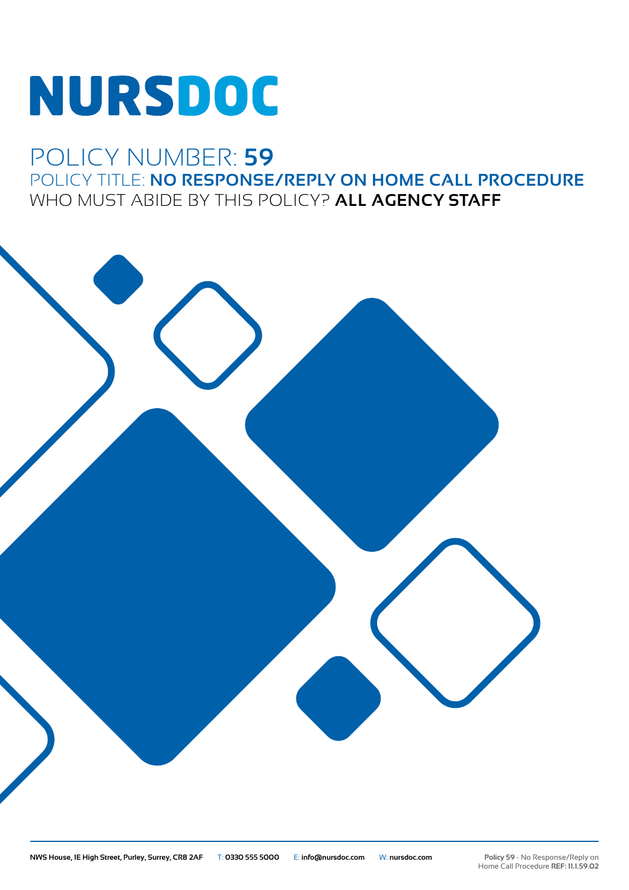## NURSDOC

## POLICY NUMBER: **59** POLICY TITLE: **NO RESPONSE/REPLY ON HOME CALL PROCEDURE** WHO MUST ABIDE BY THIS POLICY? **ALL AGENCY STAFF**